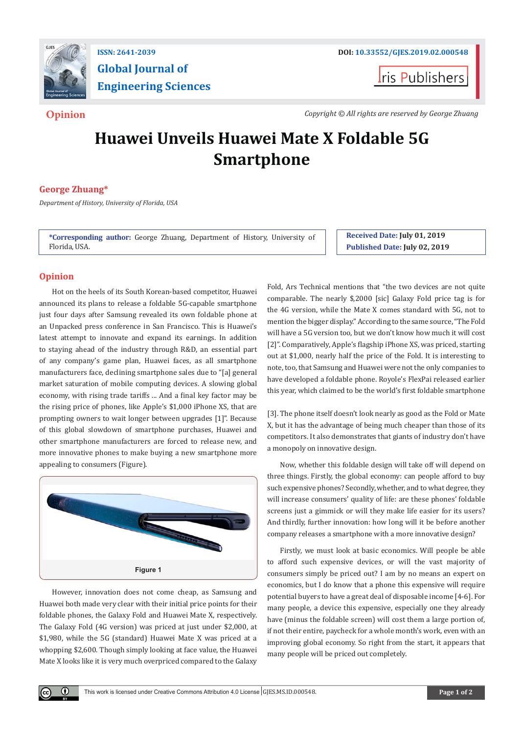

**Global Journal of Engineering Sciences**

**I**ris Publishers

**Opinion** *Copyright © All rights are reserved by George Zhuang*

# **Huawei Unveils Huawei Mate X Foldable 5G Smartphone**

# **George Zhuang\***

*Department of History, University of Florida, USA*

**\*Corresponding author:** George Zhuang, Department of History, University of Florida, USA.

**Received Date: July 01, 2019 Published Date: July 02, 2019**

# **Opinion**

⊙

Hot on the heels of its South Korean-based competitor, Huawei announced its plans to release a foldable 5G-capable smartphone just four days after Samsung revealed its own foldable phone at an Unpacked press conference in San Francisco. This is Huawei's latest attempt to innovate and expand its earnings. In addition to staying ahead of the industry through R&D, an essential part of any company's game plan, Huawei faces, as all smartphone manufacturers face, declining smartphone sales due to "[a] general market saturation of mobile computing devices. A slowing global economy, with rising trade tariffs ... And a final key factor may be the rising price of phones, like Apple's \$1,000 iPhone XS, that are prompting owners to wait longer between upgrades [1]". Because of this global slowdown of smartphone purchases, Huawei and other smartphone manufacturers are forced to release new, and more innovative phones to make buying a new smartphone more appealing to consumers (Figure).



However, innovation does not come cheap, as Samsung and Huawei both made very clear with their initial price points for their foldable phones, the Galaxy Fold and Huawei Mate X, respectively. The Galaxy Fold (4G version) was priced at just under \$2,000, at \$1,980, while the 5G (standard) Huawei Mate X was priced at a whopping \$2,600. Though simply looking at face value, the Huawei Mate X looks like it is very much overpriced compared to the Galaxy

Fold, Ars Technical mentions that "the two devices are not quite comparable. The nearly \$,2000 [sic] Galaxy Fold price tag is for the 4G version, while the Mate X comes standard with 5G, not to mention the bigger display." According to the same source, "The Fold will have a 5G version too, but we don't know how much it will cost [2]". Comparatively, Apple's flagship iPhone XS, was priced, starting out at \$1,000, nearly half the price of the Fold. It is interesting to note, too, that Samsung and Huawei were not the only companies to have developed a foldable phone. Royole's FlexPai released earlier this year, which claimed to be the world's first foldable smartphone

[3]. The phone itself doesn't look nearly as good as the Fold or Mate X, but it has the advantage of being much cheaper than those of its competitors. It also demonstrates that giants of industry don't have a monopoly on innovative design.

Now, whether this foldable design will take off will depend on three things. Firstly, the global economy: can people afford to buy such expensive phones? Secondly, whether, and to what degree, they will increase consumers' quality of life: are these phones' foldable screens just a gimmick or will they make life easier for its users? And thirdly, further innovation: how long will it be before another company releases a smartphone with a more innovative design?

Firstly, we must look at basic economics. Will people be able to afford such expensive devices, or will the vast majority of consumers simply be priced out? I am by no means an expert on economics, but I do know that a phone this expensive will require potential buyers to have a great deal of disposable income [4-6]. For many people, a device this expensive, especially one they already have (minus the foldable screen) will cost them a large portion of, if not their entire, paycheck for a whole month's work, even with an improving global economy. So right from the start, it appears that many people will be priced out completely.